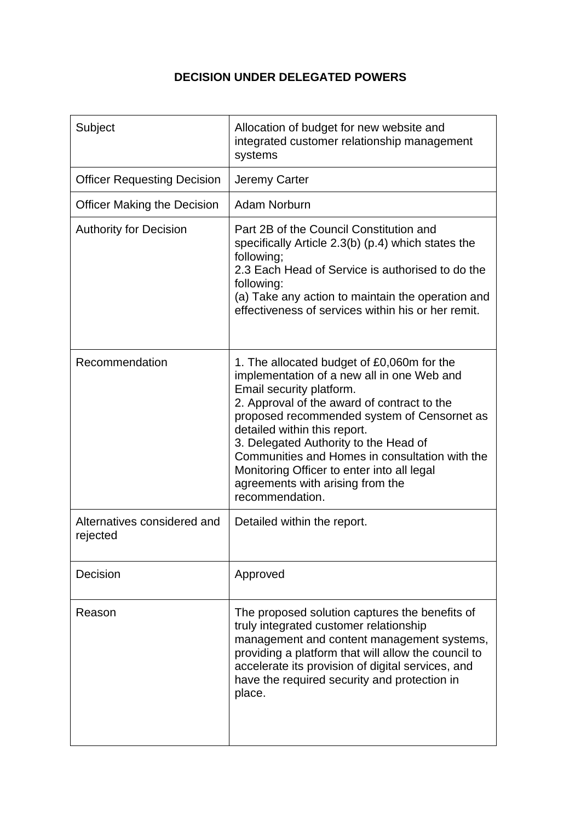## **DECISION UNDER DELEGATED POWERS**

| Subject                                 | Allocation of budget for new website and<br>integrated customer relationship management<br>systems                                                                                                                                                                                                                                                                                                                                                 |
|-----------------------------------------|----------------------------------------------------------------------------------------------------------------------------------------------------------------------------------------------------------------------------------------------------------------------------------------------------------------------------------------------------------------------------------------------------------------------------------------------------|
| <b>Officer Requesting Decision</b>      | Jeremy Carter                                                                                                                                                                                                                                                                                                                                                                                                                                      |
| <b>Officer Making the Decision</b>      | Adam Norburn                                                                                                                                                                                                                                                                                                                                                                                                                                       |
| <b>Authority for Decision</b>           | Part 2B of the Council Constitution and<br>specifically Article 2.3(b) (p.4) which states the<br>following;<br>2.3 Each Head of Service is authorised to do the<br>following:<br>(a) Take any action to maintain the operation and<br>effectiveness of services within his or her remit.                                                                                                                                                           |
| Recommendation                          | 1. The allocated budget of £0,060m for the<br>implementation of a new all in one Web and<br>Email security platform.<br>2. Approval of the award of contract to the<br>proposed recommended system of Censornet as<br>detailed within this report.<br>3. Delegated Authority to the Head of<br>Communities and Homes in consultation with the<br>Monitoring Officer to enter into all legal<br>agreements with arising from the<br>recommendation. |
| Alternatives considered and<br>rejected | Detailed within the report.                                                                                                                                                                                                                                                                                                                                                                                                                        |
| Decision                                | Approved                                                                                                                                                                                                                                                                                                                                                                                                                                           |
| Reason                                  | The proposed solution captures the benefits of<br>truly integrated customer relationship<br>management and content management systems,<br>providing a platform that will allow the council to<br>accelerate its provision of digital services, and<br>have the required security and protection in<br>place.                                                                                                                                       |